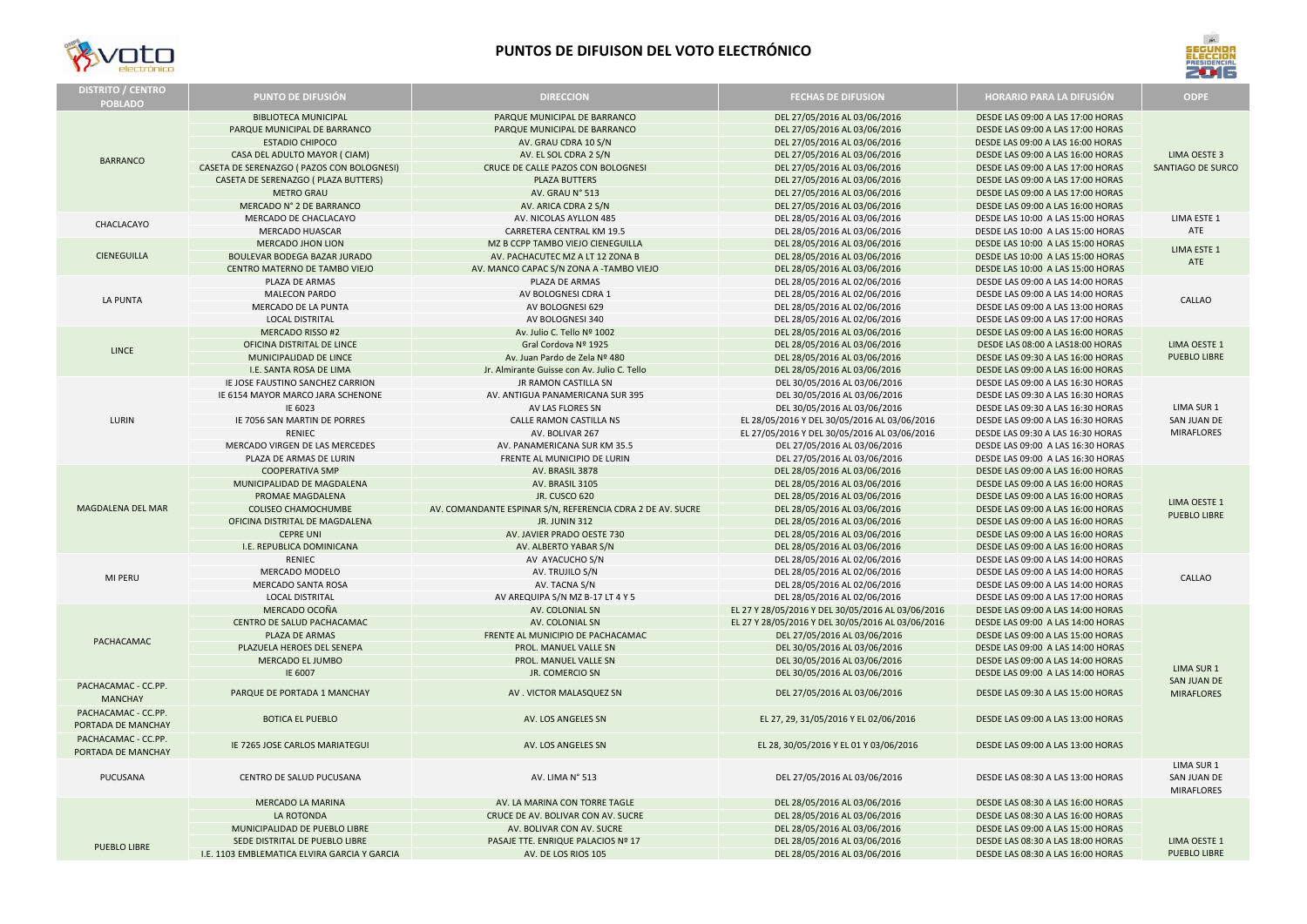| <b>DISTRITO / CENTRO</b><br><b>POBLADO</b> | <b>PUNTO DE DIFUSIÓN</b>                                    | <b>DIRECCION</b>                                             | <b>FECHAS DE DIFUSION</b>                                    | <b>HORARIO PARA LA DIFUSIÓN</b>                                        | <b>ODPE</b>                                    |
|--------------------------------------------|-------------------------------------------------------------|--------------------------------------------------------------|--------------------------------------------------------------|------------------------------------------------------------------------|------------------------------------------------|
| <b>BARRANCO</b>                            | <b>BIBLIOTECA MUNICIPAL</b><br>PARQUE MUNICIPAL DE BARRANCO | PARQUE MUNICIPAL DE BARRANCO<br>PARQUE MUNICIPAL DE BARRANCO | DEL 27/05/2016 AL 03/06/2016<br>DEL 27/05/2016 AL 03/06/2016 | DESDE LAS 09:00 A LAS 17:00 HORAS<br>DESDE LAS 09:00 A LAS 17:00 HORAS |                                                |
|                                            | <b>ESTADIO CHIPOCO</b>                                      | AV. GRAU CDRA 10 S/N                                         | DEL 27/05/2016 AL 03/06/2016                                 | DESDE LAS 09:00 A LAS 16:00 HORAS                                      |                                                |
|                                            | CASA DEL ADULTO MAYOR ( CIAM)                               | AV. EL SOL CDRA 2 S/N                                        | DEL 27/05/2016 AL 03/06/2016                                 | DESDE LAS 09:00 A LAS 16:00 HORAS                                      | <b>LIMA OESTE 3</b>                            |
|                                            | CASETA DE SERENAZGO ( PAZOS CON BOLOGNESI)                  | CRUCE DE CALLE PAZOS CON BOLOGNESI                           | DEL 27/05/2016 AL 03/06/2016                                 | DESDE LAS 09:00 A LAS 17:00 HORAS                                      | SANTIAGO DE SURCO                              |
|                                            | CASETA DE SERENAZGO ( PLAZA BUTTERS)                        | <b>PLAZA BUTTERS</b>                                         | DEL 27/05/2016 AL 03/06/2016                                 | DESDE LAS 09:00 A LAS 17:00 HORAS                                      |                                                |
|                                            | <b>METRO GRAU</b>                                           | AV. GRAU N° 513                                              | DEL 27/05/2016 AL 03/06/2016                                 | DESDE LAS 09:00 A LAS 17:00 HORAS                                      |                                                |
|                                            | MERCADO Nº 2 DE BARRANCO                                    | AV. ARICA CDRA 2 S/N                                         | DEL 27/05/2016 AL 03/06/2016                                 | DESDE LAS 09:00 A LAS 16:00 HORAS                                      |                                                |
| CHACLACAYO                                 | MERCADO DE CHACLACAYO                                       | AV. NICOLAS AYLLON 485                                       | DEL 28/05/2016 AL 03/06/2016                                 | DESDE LAS 10:00 A LAS 15:00 HORAS                                      | LIMA ESTE 1                                    |
|                                            | <b>MERCADO HUASCAR</b>                                      | <b>CARRETERA CENTRAL KM 19.5</b>                             | DEL 28/05/2016 AL 03/06/2016                                 | DESDE LAS 10:00 A LAS 15:00 HORAS                                      | ATE                                            |
| <b>CIENEGUILLA</b>                         | <b>MERCADO JHON LION</b>                                    | MZ B CCPP TAMBO VIEJO CIENEGUILLA                            | DEL 28/05/2016 AL 03/06/2016                                 | DESDE LAS 10:00 A LAS 15:00 HORAS                                      |                                                |
|                                            | BOULEVAR BODEGA BAZAR JURADO                                | AV. PACHACUTEC MZ A LT 12 ZONA B                             | DEL 28/05/2016 AL 03/06/2016                                 | DESDE LAS 10:00 A LAS 15:00 HORAS                                      | <b>LIMA ESTE 1</b>                             |
|                                            | CENTRO MATERNO DE TAMBO VIEJO                               | AV. MANCO CAPAC S/N ZONA A -TAMBO VIEJO                      | DEL 28/05/2016 AL 03/06/2016                                 | DESDE LAS 10:00 A LAS 15:00 HORAS                                      | ATE                                            |
|                                            | PLAZA DE ARMAS                                              | PLAZA DE ARMAS                                               | DEL 28/05/2016 AL 02/06/2016                                 | DESDE LAS 09:00 A LAS 14:00 HORAS                                      |                                                |
|                                            | <b>MALECON PARDO</b>                                        | AV BOLOGNESI CDRA 1                                          | DEL 28/05/2016 AL 02/06/2016                                 | DESDE LAS 09:00 A LAS 14:00 HORAS                                      |                                                |
| LA PUNTA                                   | MERCADO DE LA PUNTA                                         | AV BOLOGNESI 629                                             | DEL 28/05/2016 AL 02/06/2016                                 | DESDE LAS 09:00 A LAS 13:00 HORAS                                      | <b>CALLAO</b>                                  |
|                                            | <b>LOCAL DISTRITAL</b>                                      | AV BOLOGNESI 340                                             | DEL 28/05/2016 AL 02/06/2016                                 | DESDE LAS 09:00 A LAS 17:00 HORAS                                      |                                                |
|                                            | <b>MERCADO RISSO #2</b>                                     | Av. Julio C. Tello Nº 1002                                   | DEL 28/05/2016 AL 03/06/2016                                 | DESDE LAS 09:00 A LAS 16:00 HORAS                                      |                                                |
|                                            | OFICINA DISTRITAL DE LINCE                                  | Gral Cordova Nº 1925                                         | DEL 28/05/2016 AL 03/06/2016                                 | DESDE LAS 08:00 A LAS18:00 HORAS                                       | <b>LIMA OESTE 1</b>                            |
| LINCE                                      | MUNICIPALIDAD DE LINCE                                      | Av. Juan Pardo de Zela Nº 480                                | DEL 28/05/2016 AL 03/06/2016                                 | DESDE LAS 09:30 A LAS 16:00 HORAS                                      | <b>PUEBLO LIBRE</b>                            |
|                                            | I.E. SANTA ROSA DE LIMA                                     | Jr. Almirante Guisse con Av. Julio C. Tello                  | DEL 28/05/2016 AL 03/06/2016                                 | DESDE LAS 09:00 A LAS 16:00 HORAS                                      |                                                |
|                                            | IE JOSE FAUSTINO SANCHEZ CARRION                            | JR RAMON CASTILLA SN                                         | DEL 30/05/2016 AL 03/06/2016                                 | DESDE LAS 09:00 A LAS 16:30 HORAS                                      |                                                |
|                                            | IE 6154 MAYOR MARCO JARA SCHENONE                           | AV. ANTIGUA PANAMERICANA SUR 395                             | DEL 30/05/2016 AL 03/06/2016                                 | DESDE LAS 09:30 A LAS 16:30 HORAS                                      |                                                |
|                                            | IE 6023                                                     | AV LAS FLORES SN                                             | DEL 30/05/2016 AL 03/06/2016                                 | DESDE LAS 09:30 A LAS 16:30 HORAS                                      | LIMA SUR 1                                     |
| LURIN                                      | IE 7056 SAN MARTIN DE PORRES                                | CALLE RAMON CASTILLA NS                                      | EL 28/05/2016 Y DEL 30/05/2016 AL 03/06/2016                 | DESDE LAS 09:00 A LAS 16:30 HORAS                                      | SAN JUAN DE                                    |
|                                            | <b>RENIEC</b>                                               | AV. BOLIVAR 267                                              | EL 27/05/2016 Y DEL 30/05/2016 AL 03/06/2016                 | DESDE LAS 09:30 A LAS 16:30 HORAS                                      | <b>MIRAFLORES</b>                              |
|                                            | <b>MERCADO VIRGEN DE LAS MERCEDES</b>                       | AV. PANAMERICANA SUR KM 35.5                                 | DEL 27/05/2016 AL 03/06/2016                                 | DESDE LAS 09:00 A LAS 16:30 HORAS                                      |                                                |
|                                            | PLAZA DE ARMAS DE LURIN                                     | FRENTE AL MUNICIPIO DE LURIN                                 | DEL 27/05/2016 AL 03/06/2016                                 | DESDE LAS 09:00 A LAS 16:30 HORAS                                      |                                                |
|                                            | <b>COOPERATIVA SMP</b>                                      | AV. BRASIL 3878                                              | DEL 28/05/2016 AL 03/06/2016                                 | DESDE LAS 09:00 A LAS 16:00 HORAS                                      |                                                |
|                                            | MUNICIPALIDAD DE MAGDALENA                                  | AV. BRASIL 3105                                              | DEL 28/05/2016 AL 03/06/2016                                 | DESDE LAS 09:00 A LAS 16:00 HORAS                                      |                                                |
| MAGDALENA DEL MAR                          | PROMAE MAGDALENA                                            | <b>JR. CUSCO 620</b>                                         | DEL 28/05/2016 AL 03/06/2016                                 | DESDE LAS 09:00 A LAS 16:00 HORAS                                      | LIMA OESTE 1                                   |
|                                            | <b>COLISEO CHAMOCHUMBE</b>                                  | AV. COMANDANTE ESPINAR S/N, REFERENCIA CDRA 2 DE AV. SUCRE   | DEL 28/05/2016 AL 03/06/2016                                 | DESDE LAS 09:00 A LAS 16:00 HORAS                                      | PUEBLO LIBRE                                   |
|                                            | OFICINA DISTRITAL DE MAGDALENA                              | <b>JR. JUNIN 312</b>                                         | DEL 28/05/2016 AL 03/06/2016                                 | DESDE LAS 09:00 A LAS 16:00 HORAS                                      |                                                |
|                                            | <b>CEPRE UNI</b>                                            | AV. JAVIER PRADO OESTE 730                                   | DEL 28/05/2016 AL 03/06/2016                                 | DESDE LAS 09:00 A LAS 16:00 HORAS                                      |                                                |
|                                            | I.E. REPUBLICA DOMINICANA                                   | AV. ALBERTO YABAR S/N                                        | DEL 28/05/2016 AL 03/06/2016                                 | DESDE LAS 09:00 A LAS 16:00 HORAS                                      |                                                |
|                                            | <b>RENIEC</b>                                               | AV AYACUCHO S/N                                              | DEL 28/05/2016 AL 02/06/2016                                 | DESDE LAS 09:00 A LAS 14:00 HORAS                                      |                                                |
| MI PERU                                    | MERCADO MODELO                                              | AV. TRUJILO S/N                                              | DEL 28/05/2016 AL 02/06/2016                                 | DESDE LAS 09:00 A LAS 14:00 HORAS                                      | CALLAO                                         |
|                                            | <b>MERCADO SANTA ROSA</b>                                   | AV. TACNA S/N                                                | DEL 28/05/2016 AL 02/06/2016                                 | DESDE LAS 09:00 A LAS 14:00 HORAS                                      |                                                |
|                                            | <b>LOCAL DISTRITAL</b>                                      | AV AREQUIPA S/N MZ B-17 LT 4 Y 5                             | DEL 28/05/2016 AL 02/06/2016                                 | DESDE LAS 09:00 A LAS 17:00 HORAS                                      |                                                |
|                                            | MERCADO OCOÑA                                               | AV. COLONIAL SN                                              | EL 27 Y 28/05/2016 Y DEL 30/05/2016 AL 03/06/2016            | DESDE LAS 09:00 A LAS 14:00 HORAS                                      |                                                |
|                                            | CENTRO DE SALUD PACHACAMAC                                  | AV. COLONIAL SN                                              | EL 27 Y 28/05/2016 Y DEL 30/05/2016 AL 03/06/2016            | DESDE LAS 09:00 A LAS 14:00 HORAS                                      |                                                |
| PACHACAMAC                                 | PLAZA DE ARMAS                                              | FRENTE AL MUNICIPIO DE PACHACAMAC                            | DEL 27/05/2016 AL 03/06/2016                                 | DESDE LAS 09:00 A LAS 15:00 HORAS                                      |                                                |
|                                            | PLAZUELA HEROES DEL SENEPA                                  | PROL. MANUEL VALLE SN                                        | DEL 30/05/2016 AL 03/06/2016                                 | DESDE LAS 09:00 A LAS 14:00 HORAS                                      |                                                |
|                                            | MERCADO EL JUMBO                                            | PROL. MANUEL VALLE SN                                        | DEL 30/05/2016 AL 03/06/2016                                 | DESDE LAS 09:00 A LAS 14:00 HORAS                                      | LIMA SUR 1                                     |
|                                            | IE 6007                                                     | <b>JR. COMERCIO SN</b>                                       | DEL 30/05/2016 AL 03/06/2016                                 | DESDE LAS 09:00 A LAS 14:00 HORAS                                      | <b>SAN JUAN DE</b>                             |
| PACHACAMAC - CC.PP.<br><b>MANCHAY</b>      | PARQUE DE PORTADA 1 MANCHAY                                 | AV. VICTOR MALASQUEZ SN                                      | DEL 27/05/2016 AL 03/06/2016                                 | DESDE LAS 09:30 A LAS 15:00 HORAS                                      | <b>MIRAFLORES</b>                              |
| PACHACAMAC - CC.PP.<br>PORTADA DE MANCHAY  | <b>BOTICA EL PUEBLO</b>                                     | AV. LOS ANGELES SN                                           | EL 27, 29, 31/05/2016 Y EL 02/06/2016                        | DESDE LAS 09:00 A LAS 13:00 HORAS                                      |                                                |
| PACHACAMAC - CC.PP.<br>PORTADA DE MANCHAY  | IE 7265 JOSE CARLOS MARIATEGUI                              | AV. LOS ANGELES SN                                           | EL 28, 30/05/2016 Y EL 01 Y 03/06/2016                       | DESDE LAS 09:00 A LAS 13:00 HORAS                                      |                                                |
| PUCUSANA                                   | CENTRO DE SALUD PUCUSANA                                    | AV. LIMA N° 513                                              | DEL 27/05/2016 AL 03/06/2016                                 | DESDE LAS 08:30 A LAS 13:00 HORAS                                      | LIMA SUR 1<br>SAN JUAN DE<br><b>MIRAFLORES</b> |
|                                            | MERCADO LA MARINA                                           | AV. LA MARINA CON TORRE TAGLE                                | DEL 28/05/2016 AL 03/06/2016                                 | DESDE LAS 08:30 A LAS 16:00 HORAS                                      |                                                |
|                                            | LA ROTONDA                                                  | CRUCE DE AV. BOLIVAR CON AV. SUCRE                           | DEL 28/05/2016 AL 03/06/2016                                 | DESDE LAS 08:30 A LAS 16:00 HORAS                                      |                                                |
| PUEBLO LIBRE                               | MUNICIPALIDAD DE PUEBLO LIBRE                               | AV. BOLIVAR CON AV. SUCRE                                    | DEL 28/05/2016 AL 03/06/2016                                 | DESDE LAS 09:00 A LAS 15:00 HORAS                                      |                                                |
|                                            | SEDE DISTRITAL DE PUEBLO LIBRE                              | PASAJE TTE. ENRIQUE PALACIOS Nº 17                           | DEL 28/05/2016 AL 03/06/2016                                 | DESDE LAS 08:30 A LAS 18:00 HORAS                                      | <b>LIMA OESTE 1</b>                            |
|                                            | I.E. 1103 EMBLEMATICA ELVIRA GARCIA Y GARCIA                | AV. DE LOS RIOS 105                                          | DEL 28/05/2016 AL 03/06/2016                                 | DESDE LAS 08:30 A LAS 16:00 HORAS                                      | <b>PUEBLO LIBRE</b>                            |
|                                            |                                                             |                                                              |                                                              |                                                                        |                                                |



## **PUNTOS DE DIFUISON DEL VOTO ELECTRÓNICO**